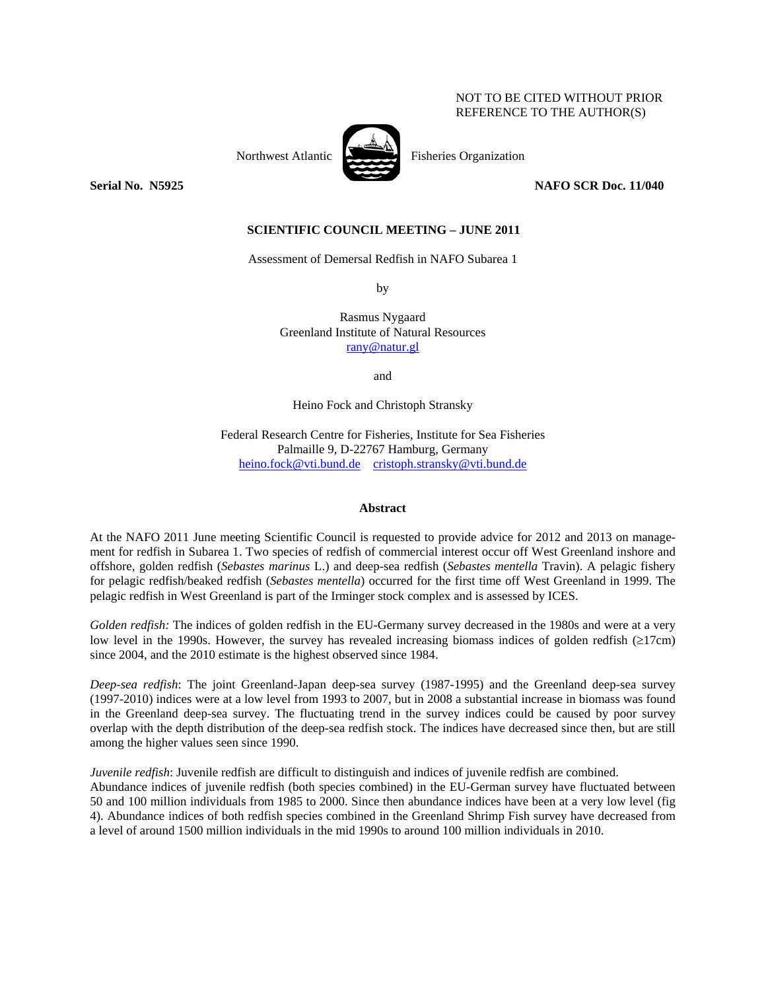# NOT TO BE CITED WITHOUT PRIOR REFERENCE TO THE AUTHOR(S)



Northwest Atlantic Fisheries Organization

**Serial No. 35925** NAFO SCR Doc. 11/040 **NAFO** 

# **SCIENTIFIC COUNCIL MEETING – JUNE 2011**

Assessment of Demersal Redfish in NAFO Subarea 1

by

Rasmus Nygaard Greenland Institute of Natural Resources rany@natur.gl

and

Heino Fock and Christoph Stransky

Federal Research Centre for Fisheries, Institute for Sea Fisheries Palmaille 9, D-22767 Hamburg, Germany heino.fock@vti.bund.de cristoph.stransky@vti.bund.de

### **Abstract**

At the NAFO 2011 June meeting Scientific Council is requested to provide advice for 2012 and 2013 on management for redfish in Subarea 1. Two species of redfish of commercial interest occur off West Greenland inshore and offshore, golden redfish (*Sebastes marinus* L.) and deep-sea redfish (*Sebastes mentella* Travin). A pelagic fishery for pelagic redfish/beaked redfish (*Sebastes mentella*) occurred for the first time off West Greenland in 1999. The pelagic redfish in West Greenland is part of the Irminger stock complex and is assessed by ICES.

*Golden redfish:* The indices of golden redfish in the EU-Germany survey decreased in the 1980s and were at a very low level in the 1990s. However, the survey has revealed increasing biomass indices of golden redfish (≥17cm) since 2004, and the 2010 estimate is the highest observed since 1984.

*Deep-sea redfish*: The joint Greenland-Japan deep-sea survey (1987-1995) and the Greenland deep-sea survey (1997-2010) indices were at a low level from 1993 to 2007, but in 2008 a substantial increase in biomass was found in the Greenland deep-sea survey. The fluctuating trend in the survey indices could be caused by poor survey overlap with the depth distribution of the deep-sea redfish stock. The indices have decreased since then, but are still among the higher values seen since 1990.

*Juvenile redfish*: Juvenile redfish are difficult to distinguish and indices of juvenile redfish are combined. Abundance indices of juvenile redfish (both species combined) in the EU-German survey have fluctuated between 50 and 100 million individuals from 1985 to 2000. Since then abundance indices have been at a very low level (fig 4). Abundance indices of both redfish species combined in the Greenland Shrimp Fish survey have decreased from a level of around 1500 million individuals in the mid 1990s to around 100 million individuals in 2010.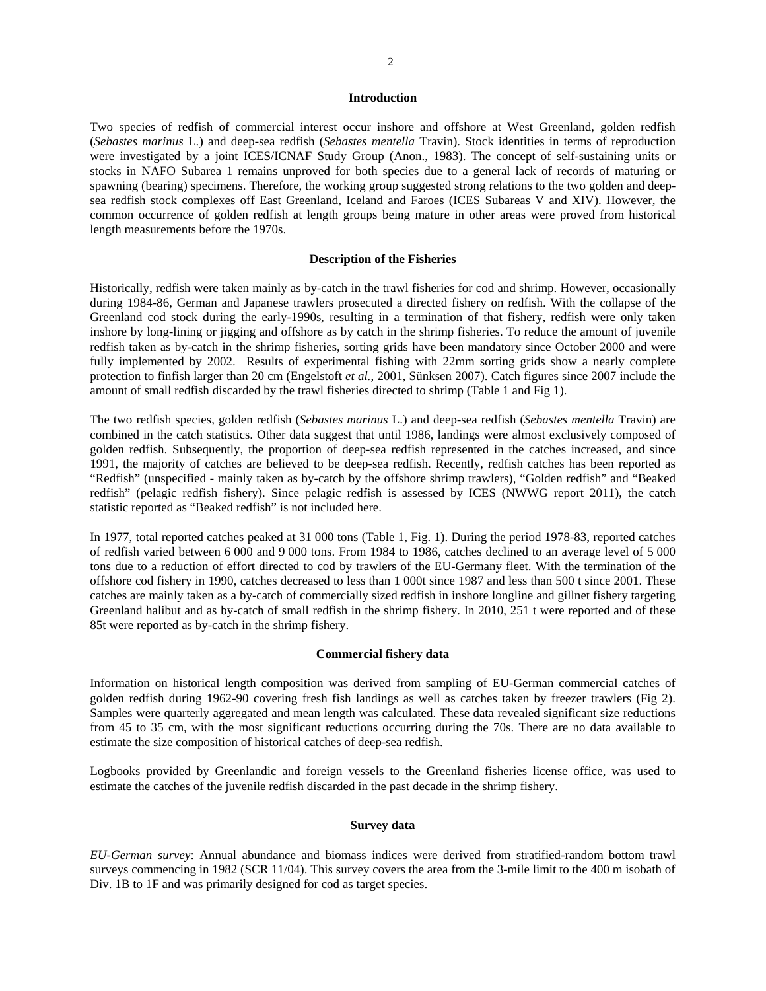# 2

#### **Introduction**

Two species of redfish of commercial interest occur inshore and offshore at West Greenland, golden redfish (*Sebastes marinus* L.) and deep-sea redfish (*Sebastes mentella* Travin). Stock identities in terms of reproduction were investigated by a joint ICES/ICNAF Study Group (Anon., 1983). The concept of self-sustaining units or stocks in NAFO Subarea 1 remains unproved for both species due to a general lack of records of maturing or spawning (bearing) specimens. Therefore, the working group suggested strong relations to the two golden and deepsea redfish stock complexes off East Greenland, Iceland and Faroes (ICES Subareas V and XIV). However, the common occurrence of golden redfish at length groups being mature in other areas were proved from historical length measurements before the 1970s.

### **Description of the Fisheries**

Historically, redfish were taken mainly as by-catch in the trawl fisheries for cod and shrimp. However, occasionally during 1984-86, German and Japanese trawlers prosecuted a directed fishery on redfish. With the collapse of the Greenland cod stock during the early-1990s, resulting in a termination of that fishery, redfish were only taken inshore by long-lining or jigging and offshore as by catch in the shrimp fisheries. To reduce the amount of juvenile redfish taken as by-catch in the shrimp fisheries, sorting grids have been mandatory since October 2000 and were fully implemented by 2002. Results of experimental fishing with 22mm sorting grids show a nearly complete protection to finfish larger than 20 cm (Engelstoft *et al.*, 2001, Sünksen 2007). Catch figures since 2007 include the amount of small redfish discarded by the trawl fisheries directed to shrimp (Table 1 and Fig 1).

The two redfish species, golden redfish (*Sebastes marinus* L.) and deep-sea redfish (*Sebastes mentella* Travin) are combined in the catch statistics. Other data suggest that until 1986, landings were almost exclusively composed of golden redfish. Subsequently, the proportion of deep-sea redfish represented in the catches increased, and since 1991, the majority of catches are believed to be deep-sea redfish. Recently, redfish catches has been reported as "Redfish" (unspecified - mainly taken as by-catch by the offshore shrimp trawlers), "Golden redfish" and "Beaked redfish" (pelagic redfish fishery). Since pelagic redfish is assessed by ICES (NWWG report 2011), the catch statistic reported as "Beaked redfish" is not included here.

In 1977, total reported catches peaked at 31 000 tons (Table 1, Fig. 1). During the period 1978-83, reported catches of redfish varied between 6 000 and 9 000 tons. From 1984 to 1986, catches declined to an average level of 5 000 tons due to a reduction of effort directed to cod by trawlers of the EU-Germany fleet. With the termination of the offshore cod fishery in 1990, catches decreased to less than 1 000t since 1987 and less than 500 t since 2001. These catches are mainly taken as a by-catch of commercially sized redfish in inshore longline and gillnet fishery targeting Greenland halibut and as by-catch of small redfish in the shrimp fishery. In 2010, 251 t were reported and of these 85t were reported as by-catch in the shrimp fishery.

## **Commercial fishery data**

Information on historical length composition was derived from sampling of EU-German commercial catches of golden redfish during 1962-90 covering fresh fish landings as well as catches taken by freezer trawlers (Fig 2). Samples were quarterly aggregated and mean length was calculated. These data revealed significant size reductions from 45 to 35 cm, with the most significant reductions occurring during the 70s. There are no data available to estimate the size composition of historical catches of deep-sea redfish.

Logbooks provided by Greenlandic and foreign vessels to the Greenland fisheries license office, was used to estimate the catches of the juvenile redfish discarded in the past decade in the shrimp fishery.

## **Survey data**

*EU-German survey*: Annual abundance and biomass indices were derived from stratified-random bottom trawl surveys commencing in 1982 (SCR 11/04). This survey covers the area from the 3-mile limit to the 400 m isobath of Div. 1B to 1F and was primarily designed for cod as target species.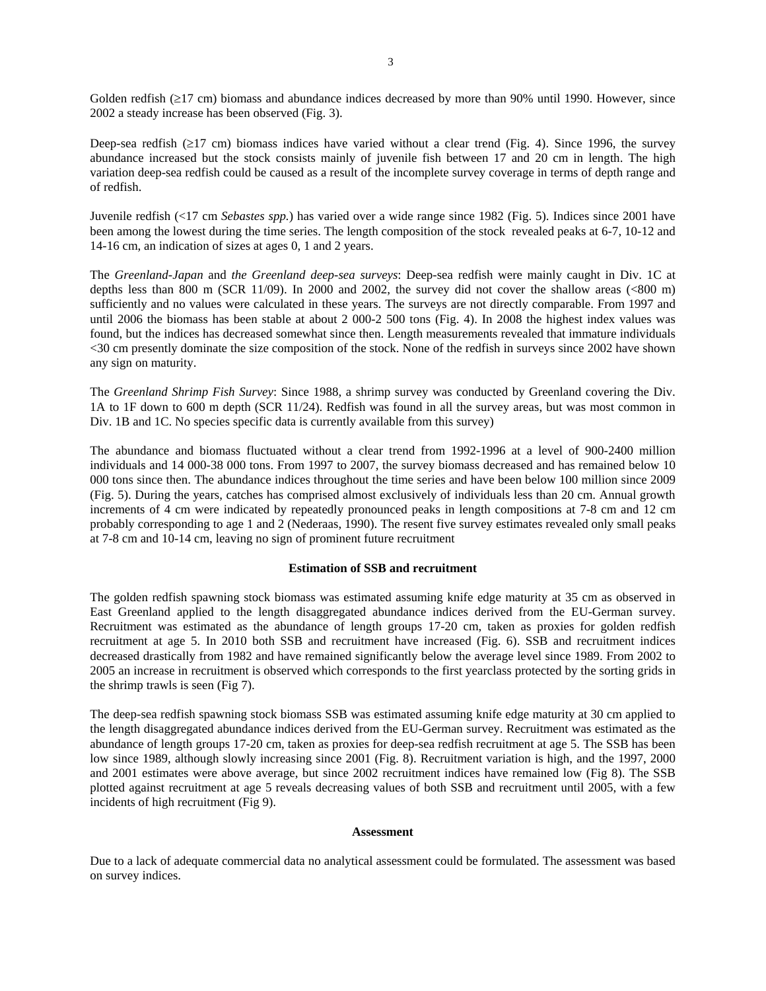Golden redfish (≥17 cm) biomass and abundance indices decreased by more than 90% until 1990. However, since 2002 a steady increase has been observed (Fig. 3).

Deep-sea redfish (≥17 cm) biomass indices have varied without a clear trend (Fig. 4). Since 1996, the survey abundance increased but the stock consists mainly of juvenile fish between 17 and 20 cm in length. The high variation deep-sea redfish could be caused as a result of the incomplete survey coverage in terms of depth range and of redfish.

Juvenile redfish (<17 cm *Sebastes spp.*) has varied over a wide range since 1982 (Fig. 5). Indices since 2001 have been among the lowest during the time series. The length composition of the stock revealed peaks at 6-7, 10-12 and 14-16 cm, an indication of sizes at ages 0, 1 and 2 years.

The *Greenland-Japan* and *the Greenland deep-sea surveys*: Deep-sea redfish were mainly caught in Div. 1C at depths less than 800 m (SCR 11/09). In 2000 and 2002, the survey did not cover the shallow areas (<800 m) sufficiently and no values were calculated in these years. The surveys are not directly comparable. From 1997 and until 2006 the biomass has been stable at about 2 000-2 500 tons (Fig. 4). In 2008 the highest index values was found, but the indices has decreased somewhat since then. Length measurements revealed that immature individuals <30 cm presently dominate the size composition of the stock. None of the redfish in surveys since 2002 have shown any sign on maturity.

The *Greenland Shrimp Fish Survey*: Since 1988, a shrimp survey was conducted by Greenland covering the Div. 1A to 1F down to 600 m depth (SCR 11/24). Redfish was found in all the survey areas, but was most common in Div. 1B and 1C. No species specific data is currently available from this survey)

The abundance and biomass fluctuated without a clear trend from 1992-1996 at a level of 900-2400 million individuals and 14 000-38 000 tons. From 1997 to 2007, the survey biomass decreased and has remained below 10 000 tons since then. The abundance indices throughout the time series and have been below 100 million since 2009 (Fig. 5). During the years, catches has comprised almost exclusively of individuals less than 20 cm. Annual growth increments of 4 cm were indicated by repeatedly pronounced peaks in length compositions at 7-8 cm and 12 cm probably corresponding to age 1 and 2 (Nederaas, 1990). The resent five survey estimates revealed only small peaks at 7-8 cm and 10-14 cm, leaving no sign of prominent future recruitment

### **Estimation of SSB and recruitment**

The golden redfish spawning stock biomass was estimated assuming knife edge maturity at 35 cm as observed in East Greenland applied to the length disaggregated abundance indices derived from the EU-German survey. Recruitment was estimated as the abundance of length groups 17-20 cm, taken as proxies for golden redfish recruitment at age 5. In 2010 both SSB and recruitment have increased (Fig. 6). SSB and recruitment indices decreased drastically from 1982 and have remained significantly below the average level since 1989. From 2002 to 2005 an increase in recruitment is observed which corresponds to the first yearclass protected by the sorting grids in the shrimp trawls is seen (Fig 7).

The deep-sea redfish spawning stock biomass SSB was estimated assuming knife edge maturity at 30 cm applied to the length disaggregated abundance indices derived from the EU-German survey. Recruitment was estimated as the abundance of length groups 17-20 cm, taken as proxies for deep-sea redfish recruitment at age 5. The SSB has been low since 1989, although slowly increasing since 2001 (Fig. 8). Recruitment variation is high, and the 1997, 2000 and 2001 estimates were above average, but since 2002 recruitment indices have remained low (Fig 8). The SSB plotted against recruitment at age 5 reveals decreasing values of both SSB and recruitment until 2005, with a few incidents of high recruitment (Fig 9).

#### **Assessment**

Due to a lack of adequate commercial data no analytical assessment could be formulated. The assessment was based on survey indices.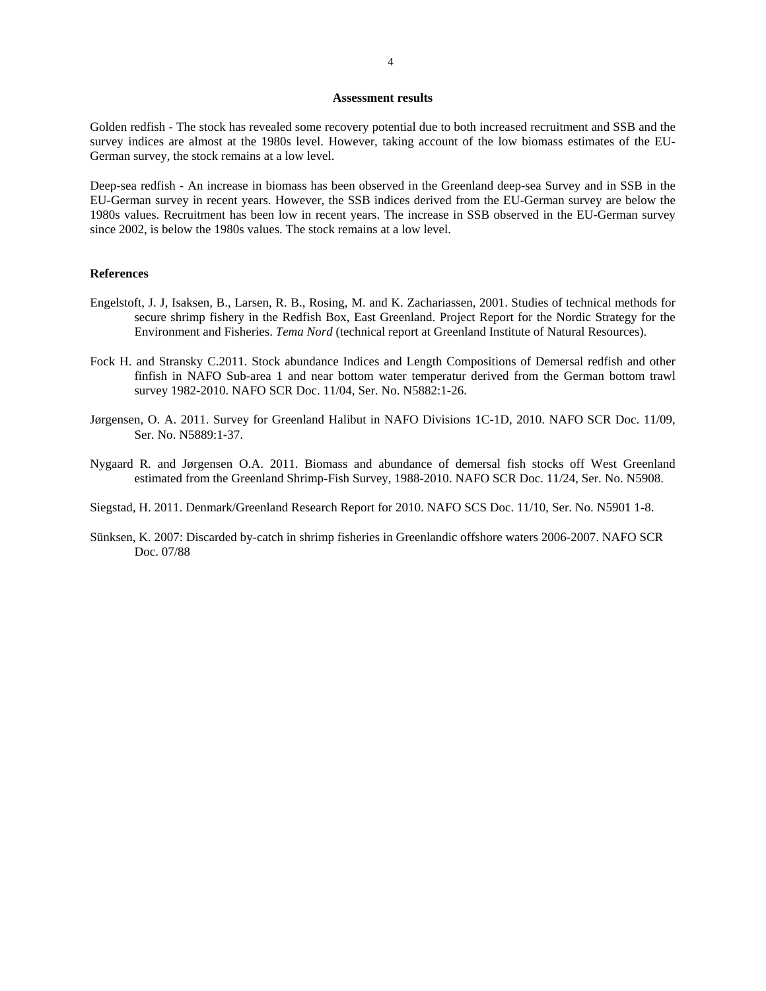#### **Assessment results**

Golden redfish - The stock has revealed some recovery potential due to both increased recruitment and SSB and the survey indices are almost at the 1980s level. However, taking account of the low biomass estimates of the EU-German survey, the stock remains at a low level.

Deep-sea redfish - An increase in biomass has been observed in the Greenland deep-sea Survey and in SSB in the EU-German survey in recent years. However, the SSB indices derived from the EU-German survey are below the 1980s values. Recruitment has been low in recent years. The increase in SSB observed in the EU-German survey since 2002, is below the 1980s values. The stock remains at a low level.

### **References**

- Engelstoft, J. J, Isaksen, B., Larsen, R. B., Rosing, M. and K. Zachariassen, 2001. Studies of technical methods for secure shrimp fishery in the Redfish Box, East Greenland. Project Report for the Nordic Strategy for the Environment and Fisheries. *Tema Nord* (technical report at Greenland Institute of Natural Resources).
- Fock H. and Stransky C.2011. Stock abundance Indices and Length Compositions of Demersal redfish and other finfish in NAFO Sub-area 1 and near bottom water temperatur derived from the German bottom trawl survey 1982-2010. NAFO SCR Doc. 11/04, Ser. No. N5882:1-26.
- Jørgensen, O. A. 2011. Survey for Greenland Halibut in NAFO Divisions 1C-1D, 2010. NAFO SCR Doc. 11/09, Ser. No. N5889:1-37.
- Nygaard R. and Jørgensen O.A. 2011. Biomass and abundance of demersal fish stocks off West Greenland estimated from the Greenland Shrimp-Fish Survey, 1988-2010. NAFO SCR Doc. 11/24, Ser. No. N5908.
- Siegstad, H. 2011. Denmark/Greenland Research Report for 2010. NAFO SCS Doc. 11/10, Ser. No. N5901 1-8.
- Sünksen, K. 2007: Discarded by-catch in shrimp fisheries in Greenlandic offshore waters 2006-2007. NAFO SCR Doc. 07/88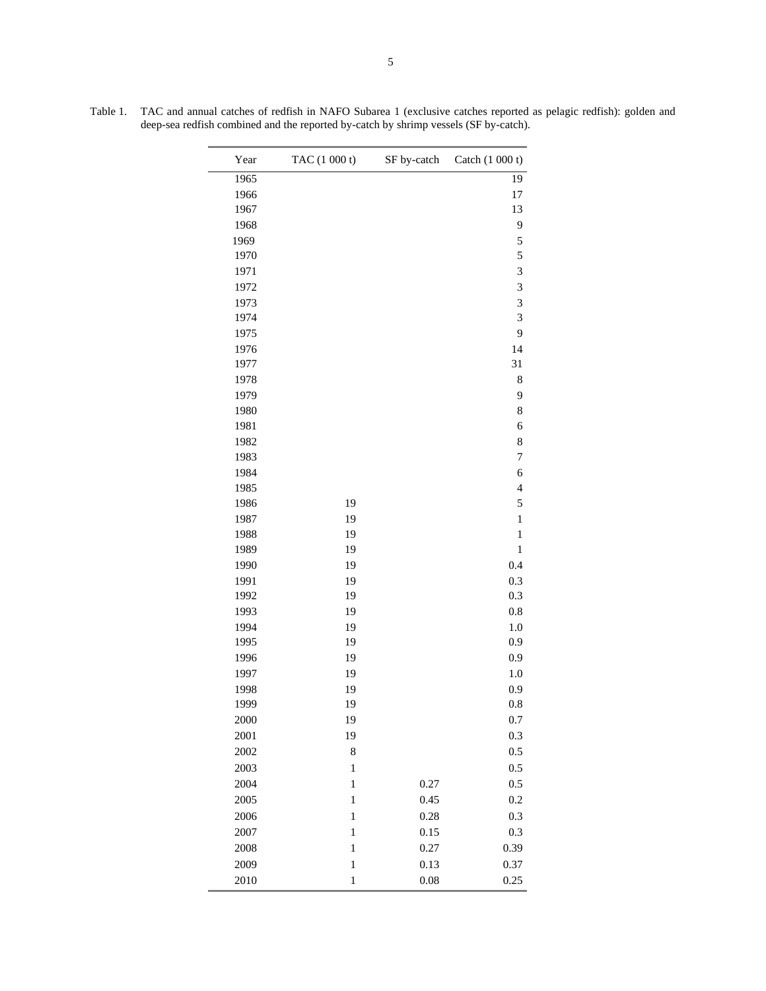| Year | TAC (1 000 t) | SF by-catch | Catch (1 000 t)         |
|------|---------------|-------------|-------------------------|
| 1965 |               |             | 19                      |
| 1966 |               |             | 17                      |
| 1967 |               |             | 13                      |
| 1968 |               |             | 9                       |
| 1969 |               |             | 5                       |
| 1970 |               |             | 5                       |
| 1971 |               |             | 3                       |
| 1972 |               |             | 3                       |
| 1973 |               |             | 3                       |
| 1974 |               |             | 3                       |
| 1975 |               |             | 9                       |
| 1976 |               |             | 14                      |
| 1977 |               |             | 31                      |
| 1978 |               |             | 8                       |
| 1979 |               |             | 9                       |
| 1980 |               |             | 8                       |
| 1981 |               |             | 6                       |
| 1982 |               |             | 8                       |
| 1983 |               |             | $\boldsymbol{7}$        |
| 1984 |               |             | 6                       |
| 1985 |               |             | $\overline{\mathbf{4}}$ |
| 1986 | 19            |             | 5                       |
| 1987 | 19            |             | $\mathbf{1}$            |
| 1988 | 19            |             | $\mathbf{1}$            |
| 1989 | 19            |             | $\,1$                   |
| 1990 | 19            |             | 0.4                     |
| 1991 | 19            |             | 0.3                     |
| 1992 | 19            |             | 0.3                     |
| 1993 | 19            |             | 0.8                     |
| 1994 | 19            |             | $1.0\,$                 |
| 1995 | 19            |             | 0.9                     |
| 1996 | 19            |             | 0.9                     |
| 1997 | 19            |             | 1.0                     |
| 1998 | 19            |             | 0.9                     |
| 1999 | 19            |             | 0.8                     |
| 2000 | 19            |             | 0.7                     |
| 2001 | 19            |             | 0.3                     |
| 2002 | 8             |             | $0.5\,$                 |
| 2003 | $\,1$         |             | 0.5                     |
| 2004 | $\,1$         | 0.27        | 0.5                     |
| 2005 | $\,1$         | 0.45        | 0.2                     |
| 2006 | $\,1$         | 0.28        | 0.3                     |
| 2007 | $\,1$         | 0.15        | 0.3                     |
| 2008 | $\,1$         | 0.27        | 0.39                    |
| 2009 | $\,1$         | 0.13        | 0.37                    |
| 2010 | $\,1$         | 0.08        | 0.25                    |

Table 1. TAC and annual catches of redfish in NAFO Subarea 1 (exclusive catches reported as pelagic redfish): golden and deep-sea redfish combined and the reported by-catch by shrimp vessels (SF by-catch).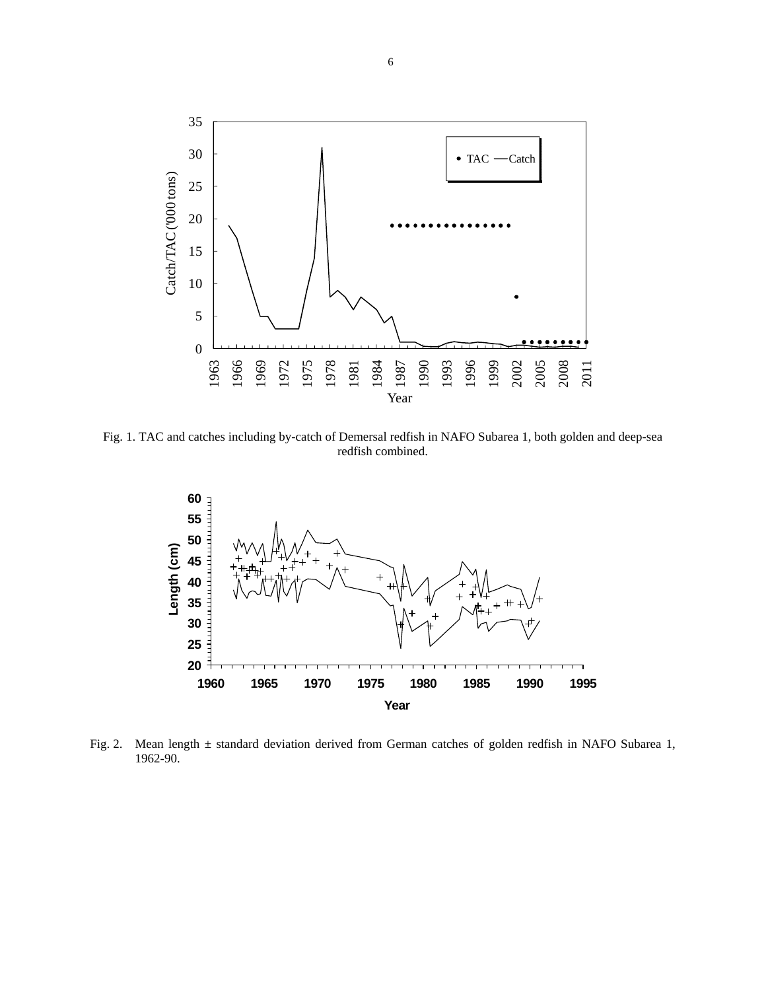

Fig. 1. TAC and catches including by-catch of Demersal redfish in NAFO Subarea 1, both golden and deep-sea redfish combined.



Fig. 2. Mean length ± standard deviation derived from German catches of golden redfish in NAFO Subarea 1, 1962-90.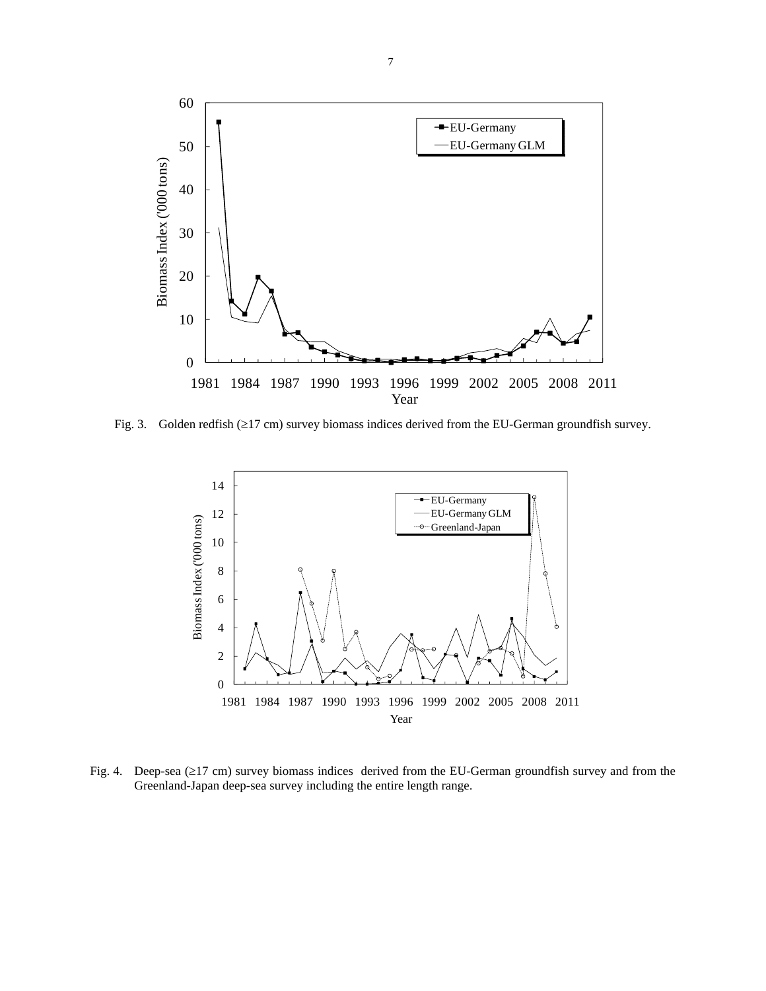

Fig. 3. Golden redfish (≥17 cm) survey biomass indices derived from the EU-German groundfish survey.



Fig. 4. Deep-sea (≥17 cm) survey biomass indices derived from the EU-German groundfish survey and from the Greenland-Japan deep-sea survey including the entire length range.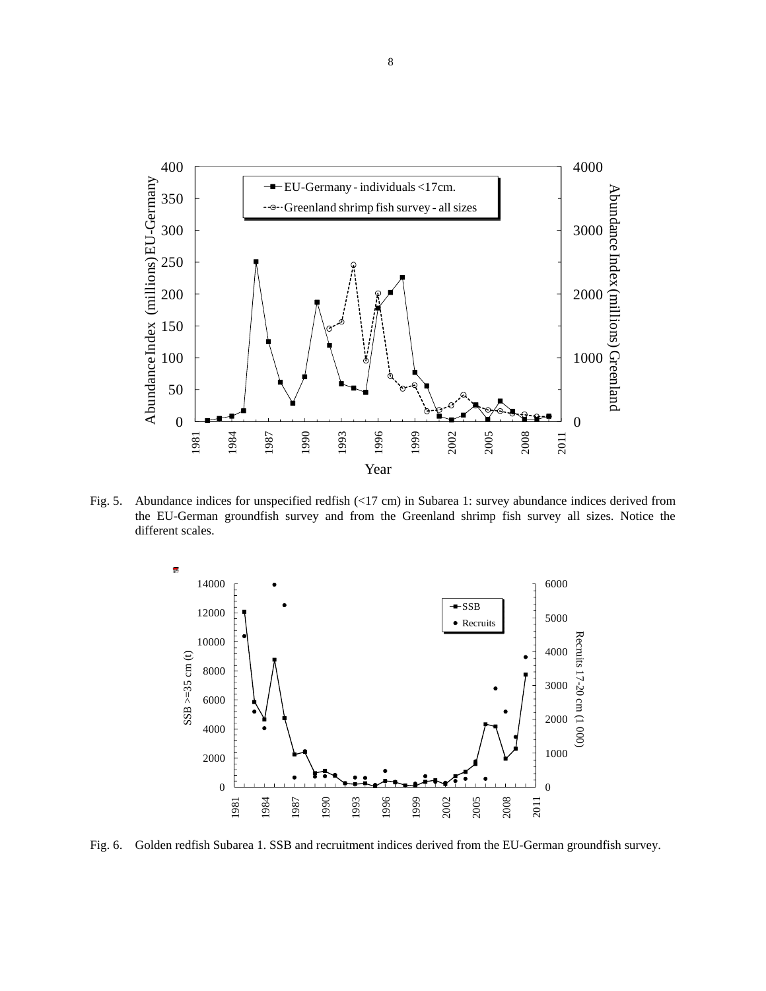

Fig. 5. Abundance indices for unspecified redfish (<17 cm) in Subarea 1: survey abundance indices derived from the EU-German groundfish survey and from the Greenland shrimp fish survey all sizes. Notice the different scales.



Fig. 6. Golden redfish Subarea 1. SSB and recruitment indices derived from the EU-German groundfish survey.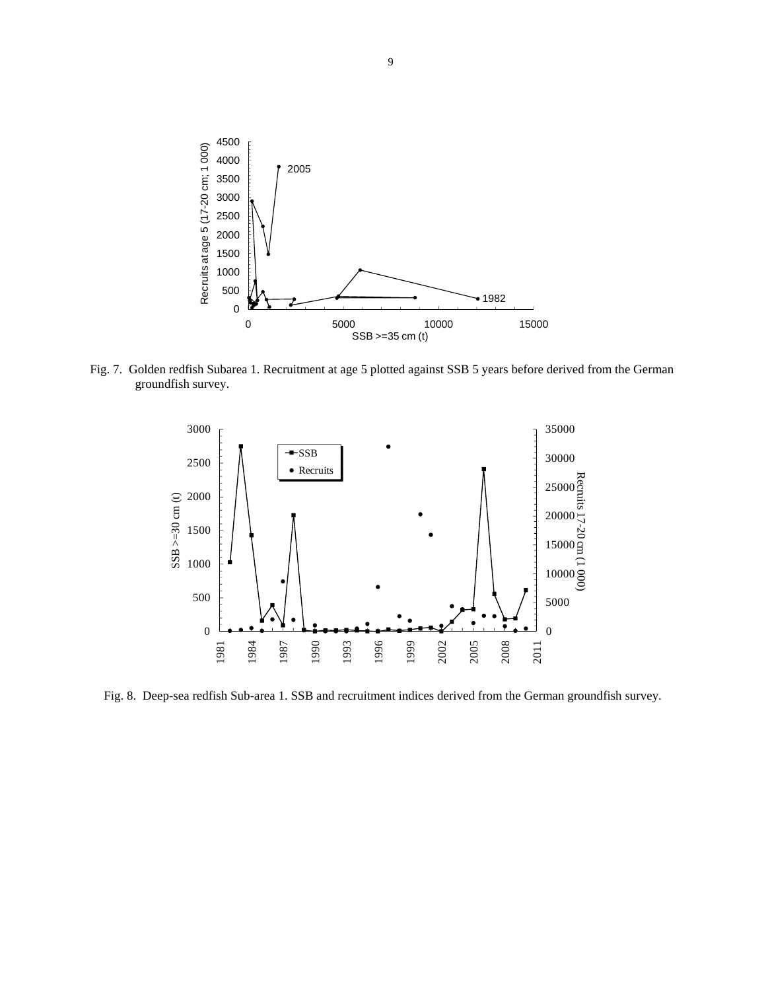

Fig. 7. Golden redfish Subarea 1. Recruitment at age 5 plotted against SSB 5 years before derived from the German groundfish survey.



Fig. 8. Deep-sea redfish Sub-area 1. SSB and recruitment indices derived from the German groundfish survey.